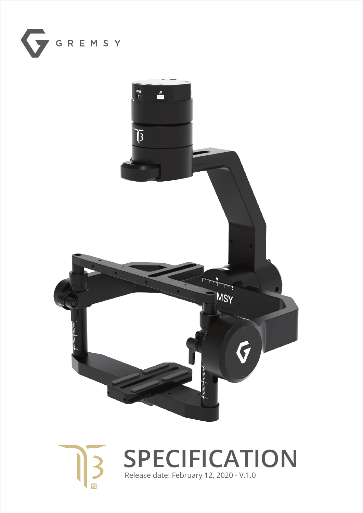



**SPECIFICATION** Release date: February 12, 2020 - V.1.0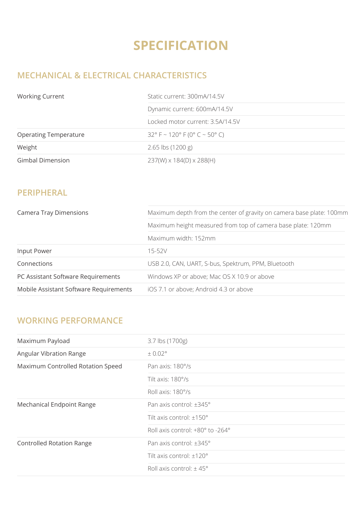# **SPECIFICATION**

## **MECHANICAL & ELECTRICAL CHARACTERISTICS**

| <b>Working Current</b>       | Static current: 300mA/14.5V            |
|------------------------------|----------------------------------------|
|                              | Dynamic current: 600mA/14.5V           |
|                              | Locked motor current: 3.5A/14.5V       |
| <b>Operating Temperature</b> | $32^{\circ}$ F ~ 120° F (0° C ~ 50° C) |
| Weight                       | $2.65$ lbs (1200 g)                    |
| <b>Gimbal Dimension</b>      | $237(W) \times 184(D) \times 288(H)$   |

#### **PERIPHERAL**

| <b>Camera Tray Dimensions</b>          | Maximum depth from the center of gravity on camera base plate: 100mm |
|----------------------------------------|----------------------------------------------------------------------|
|                                        | Maximum height measured from top of camera base plate: 120mm         |
|                                        | Maximum width: 152mm                                                 |
| Input Power                            | 15-52V                                                               |
| Connections                            | USB 2.0, CAN, UART, S-bus, Spektrum, PPM, Bluetooth                  |
| PC Assistant Software Requirements     | Windows XP or above; Mac OS X 10.9 or above                          |
| Mobile Assistant Software Requirements | iOS 7.1 or above; Android 4.3 or above                               |

### **WORKING PERFORMANCE**

| Maximum Payload                   | 3.7 lbs (1700g)                    |
|-----------------------------------|------------------------------------|
| Angular Vibration Range           | $\pm$ 0.02 $^{\circ}$              |
| Maximum Controlled Rotation Speed | Pan axis: 180°/s                   |
|                                   | Tilt axis: $180^\circ$ /s          |
|                                   | Roll axis: 180°/s                  |
| Mechanical Endpoint Range         | Pan axis control: ±345°            |
|                                   | Tilt axis control: $\pm 150^\circ$ |
|                                   | Roll axis control: +80° to -264°   |
| <b>Controlled Rotation Range</b>  | Pan axis control: ±345°            |
|                                   | Tilt axis control: ±120°           |
|                                   | Roll axis control: $\pm$ 45°       |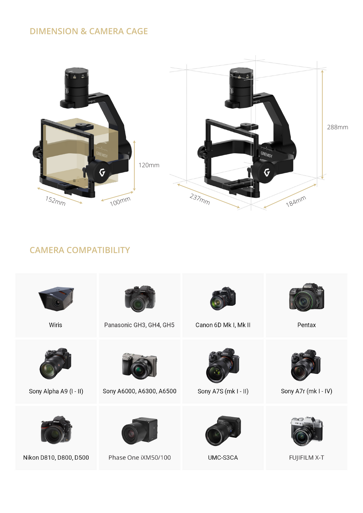#### **DIMENSION & CAMERA CAGE**



### **CAMERA COMPATIBILITY**